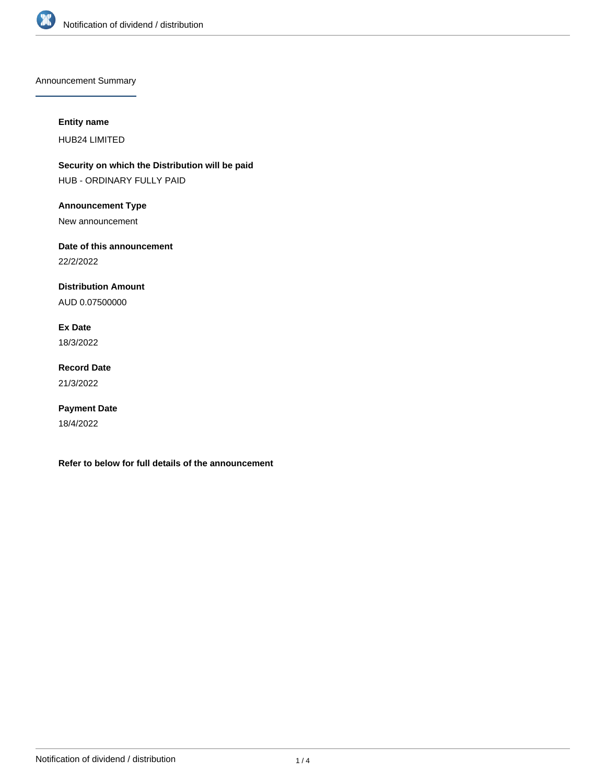

Announcement Summary

## **Entity name**

HUB24 LIMITED

**Security on which the Distribution will be paid** HUB - ORDINARY FULLY PAID

**Announcement Type**

New announcement

**Date of this announcement**

22/2/2022

**Distribution Amount**

AUD 0.07500000

**Ex Date** 18/3/2022

**Record Date** 21/3/2022

**Payment Date**

18/4/2022

**Refer to below for full details of the announcement**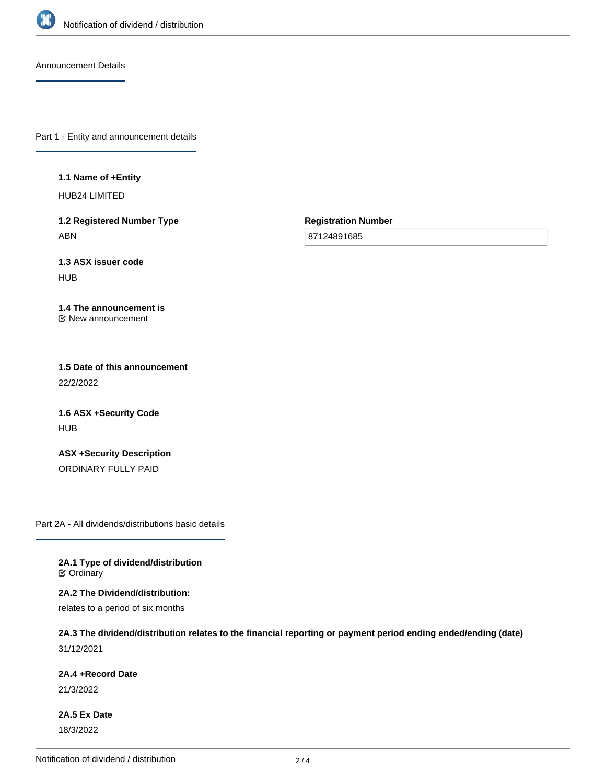

Announcement Details

Part 1 - Entity and announcement details

**1.1 Name of +Entity**

HUB24 LIMITED

**1.2 Registered Number Type** ABN

**Registration Number**

87124891685

**1.3 ASX issuer code HUB** 

**1.4 The announcement is** New announcement

**1.5 Date of this announcement** 22/2/2022

**1.6 ASX +Security Code** HUB

**ASX +Security Description** ORDINARY FULLY PAID

Part 2A - All dividends/distributions basic details

**2A.1 Type of dividend/distribution C** Ordinary

**2A.2 The Dividend/distribution:**

relates to a period of six months

**2A.3 The dividend/distribution relates to the financial reporting or payment period ending ended/ending (date)** 31/12/2021

**2A.4 +Record Date**

21/3/2022

**2A.5 Ex Date** 18/3/2022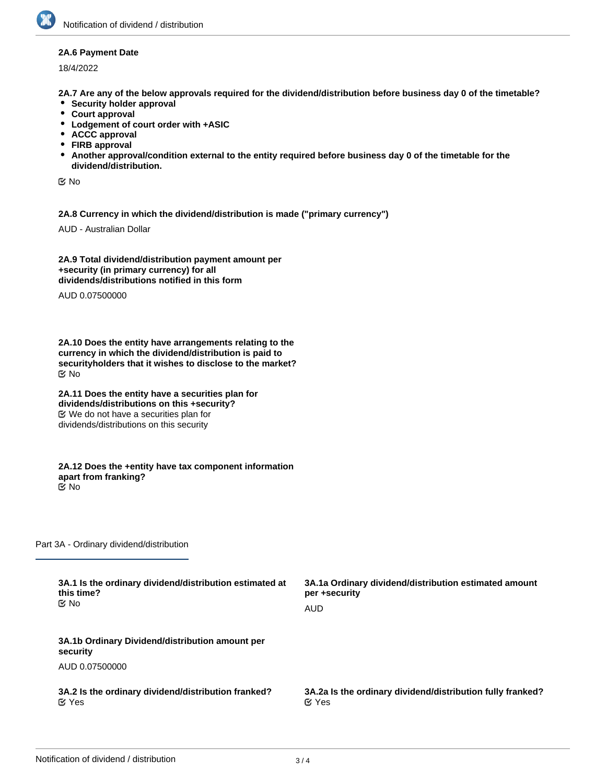## **2A.6 Payment Date**

18/4/2022

**2A.7 Are any of the below approvals required for the dividend/distribution before business day 0 of the timetable?**

- **•** Security holder approval
- **Court approval**
- **Lodgement of court order with +ASIC**
- **ACCC approval**
- **FIRB approval**
- **Another approval/condition external to the entity required before business day 0 of the timetable for the dividend/distribution.**

No

**2A.8 Currency in which the dividend/distribution is made ("primary currency")**

AUD - Australian Dollar

**2A.9 Total dividend/distribution payment amount per +security (in primary currency) for all dividends/distributions notified in this form**

AUD 0.07500000

**2A.10 Does the entity have arrangements relating to the currency in which the dividend/distribution is paid to securityholders that it wishes to disclose to the market?** No

**2A.11 Does the entity have a securities plan for dividends/distributions on this +security?** We do not have a securities plan for dividends/distributions on this security

**2A.12 Does the +entity have tax component information apart from franking?** No

Part 3A - Ordinary dividend/distribution

| 3A.1 Is the ordinary dividend/distribution estimated at     | 3A.1a Ordinary dividend/distribution estimated amount      |
|-------------------------------------------------------------|------------------------------------------------------------|
| this time?                                                  | per +security                                              |
| <b>≝</b> No                                                 | AUD                                                        |
| 3A.1b Ordinary Dividend/distribution amount per<br>security |                                                            |
| AUD 0.07500000                                              |                                                            |
| 3A.2 Is the ordinary dividend/distribution franked?         | 3A.2a Is the ordinary dividend/distribution fully franked? |
| $\alpha$ Yes                                                | $\alpha$ Yes                                               |